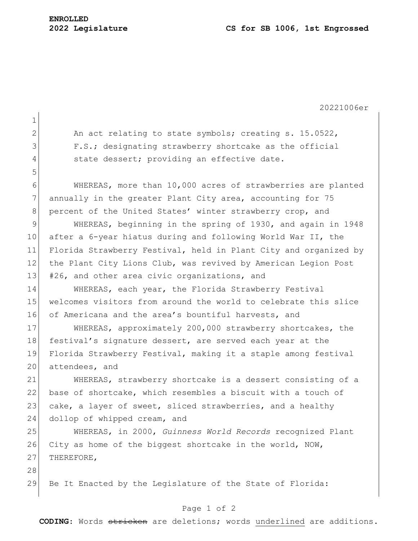20221006er

1 2 An act relating to state symbols; creating s. 15.0522, 3 F.S.; designating strawberry shortcake as the official 4 state dessert; providing an effective date. 5 6 WHEREAS, more than 10,000 acres of strawberries are planted 7 annually in the greater Plant City area, accounting for 75 8 percent of the United States' winter strawberry crop, and 9 WHEREAS, beginning in the spring of 1930, and again in 1948 10 after a 6-year hiatus during and following World War II, the 11 Florida Strawberry Festival, held in Plant City and organized by 12 the Plant City Lions Club, was revived by American Legion Post 13 #26, and other area civic organizations, and 14 WHEREAS, each year, the Florida Strawberry Festival 15 welcomes visitors from around the world to celebrate this slice 16 of Americana and the area's bountiful harvests, and 17 WHEREAS, approximately 200,000 strawberry shortcakes, the 18 festival's signature dessert, are served each year at the 19 Florida Strawberry Festival, making it a staple among festival 20 attendees, and 21 WHEREAS, strawberry shortcake is a dessert consisting of a 22 base of shortcake, which resembles a biscuit with a touch of 23 cake, a layer of sweet, sliced strawberries, and a healthy 24 dollop of whipped cream, and 25 WHEREAS, in 2000, *Guinness World Records* recognized Plant 26 City as home of the biggest shortcake in the world, NOW, 27 THEREFORE, 28 29 Be It Enacted by the Legislature of the State of Florida:

## Page 1 of 2

**CODING**: Words stricken are deletions; words underlined are additions.